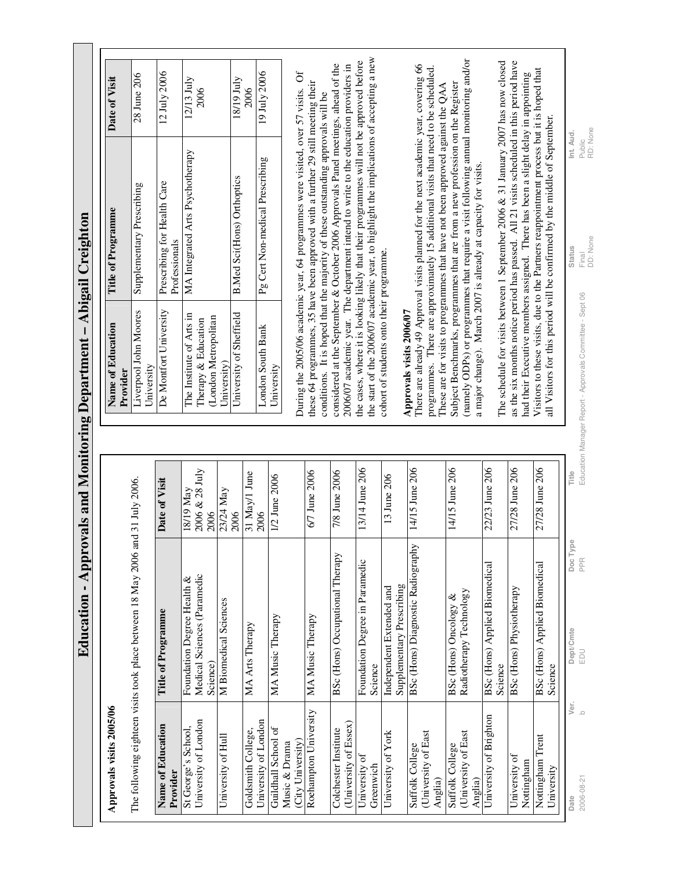**Education - Approvals and Monitoring Department – Abigail Creighton**  Education - Approvals and Monitoring Department - Abigail Creighton

## **Approvals visits 2005/06**  Approvals visits 2005/06

| Name of Education                  | Title of Programme                              | Date of Visit     |
|------------------------------------|-------------------------------------------------|-------------------|
| Provider                           |                                                 |                   |
| St George's School,                | Foundation Degree Health &                      | $18/19$ May       |
| University of London               | Medical Sciences (Paramedic                     | 2006 & 28 July    |
|                                    | Science)                                        | 2006              |
| University of Hull                 | M Biomedical Sciences                           | 23/24 May<br>2006 |
| Goldsmith College,                 | MA Arts Therapy                                 | 31 May/1 June     |
| University of London               |                                                 | 2006              |
| Guildhall School of                | MA Music Therapy                                | 1/2 June 2006     |
| (City University)<br>Music & Drama |                                                 |                   |
| Roehampton University              | MA Music Therapy                                | 6/7 June 2006     |
| Colchester Institute               | BSc (Hons) Occupational Therapy                 | 7/8 June 2006     |
| (University of Essex)              |                                                 |                   |
| University of                      | Foundation Degree in Paramedic                  | 13/14 June 206    |
| Greenwich                          | Science                                         |                   |
| University of York                 | Independent Extended and                        | 13 June 206       |
|                                    | Supplementary Prescribing                       |                   |
| Suffolk College                    | BSc (Hons) Diagnostic Radiography               | 14/15 June 206    |
| (University of East<br>Anglia)     |                                                 |                   |
| Suffolk College                    | BSc (Hons) Oncology &                           | 14/15 June 206    |
| University of East                 | Radiotherapy Technology                         |                   |
| Anglia)                            |                                                 |                   |
| University of Brighton             | BSc (Hons) Applied Biomedical                   | 22/23 June 206    |
|                                    | Science                                         |                   |
| University of<br>Nottingham        | BSc (Hons) Physiotherapy                        | 27/28 June 206    |
|                                    |                                                 |                   |
| Nottingham Trent<br>University     | <b>BSc (Hons) Applied Biomedical</b><br>Science | 27/28 June 206    |
|                                    |                                                 |                   |

| Name of Education<br>Provider                                                          | Title of Programme                           | Date of Visit           |
|----------------------------------------------------------------------------------------|----------------------------------------------|-------------------------|
| Liverpool John Moores<br>University                                                    | Supplementary Prescribing                    | 28 June 206             |
| De Montfort University                                                                 | Prescribing for Health Care<br>Professionals | $12 \text{ July } 2006$ |
| The Institute of Arts in<br>(London Metropolitan<br>Therapy & Education<br>University) | MA Integrated Arts Psychotherapy             | 12/13 July<br>2006      |
| University of Sheffield                                                                | <b>B.Med Sci(Hons) Orthoptics</b>            | 18/19 July<br>2006      |
| London South Bank<br>University                                                        | Pg Cert Non-medical Prescribing              | 19 July 2006            |

the start of the 2006/07 academic year, to highlight the implications of accepting a new the start of the 2006/07 academic year, to highlight the implications of accepting a new the cases, where it is looking likely that their programmes will not be approved before the cases, where it is looking likely that their programmes will not be approved before considered at the September & October 2006 Approvals Panel meetings, ahead of the 2006/07 academic year. The department intend to write to the education providers in considered at the September & October 2006 Approvals Panel meetings, ahead of the 2006/07 academic year. The department intend to write to the education providers in During the 2005/06 academic year, 64 programmes were visited, over 57 visits. Of During the 2005/06 academic year, 64 programmes were visited, over 57 visits. Of these 64 programmes, 35 have been approved with a further 29 still meeting their these 64 programmes, 35 have been approved with a further 29 still meeting their conditions. It is hoped that the majority of these outstanding approvals will be conditions. It is hoped that the majority of these outstanding approvals will be cohort of students onto their programme. cohort of students onto their programme.

## Approvals visits 2006/07 **Approvals visits 2006/07**

Subject Benchmarks, programmes that are from a new profession on the Register (namely ODPs) or programmes that require a visit following amual monitoring and/or (namely ODPs) or programmes that require a visit following annual monitoring and/or There are already 49 Approval visits planned for the next academic year, covering 66 There are already 49 Approval visits planned for the next academic year, covering 66 programmes. There are approximately 15 additional visits that need to be scheduled. programmes. There are approximately 15 additional visits that need to be scheduled. Subject Benchmarks, programmes that are from a new profession on the Register These are for visits to programmes that have not been approved against the QAA These are for visits to programmes that have not been approved against the QAA a major change). March 2007 is already at capacity for visits. a major change). March 2007 is already at capacity for visits.

The schedule for visits between 1 September 2006 & 31 January 2007 has now closed as the six months notice period has passed. All 21 visits scheduled in this period have The schedule for visits between 1 September 2006 & 31 January 2007 has now closed as the six months notice period has passed. All 21 visits scheduled in this period have Visitors to these visits, due to the Partners reappointment process but it is hoped that Visitors to these visits, due to the Partners reappointment process but it is hoped that had their Executive members assigned. There has been a slight delay in appointing had their Executive members assigned. There has been a slight delay in appointing all Visitors for this period will be confirmed by the middle of September. all Visitors for this period will be confirmed by the middle of September.

Public RD: None **Date Ver. Dept/Cmte Doc Type Title Status Int. Aud.**  Int. Aud Final<br>DD: None Status 2006-08-21 b EDU PPR Education Manager Report - Approvals Committee - Sept 06 Final Education Manager Report - Approvals Committee - Sept 06 Title Doc Type

PPR

Dept/Cmte EDU

 $V$ er.<br>b

2006-08-21 Date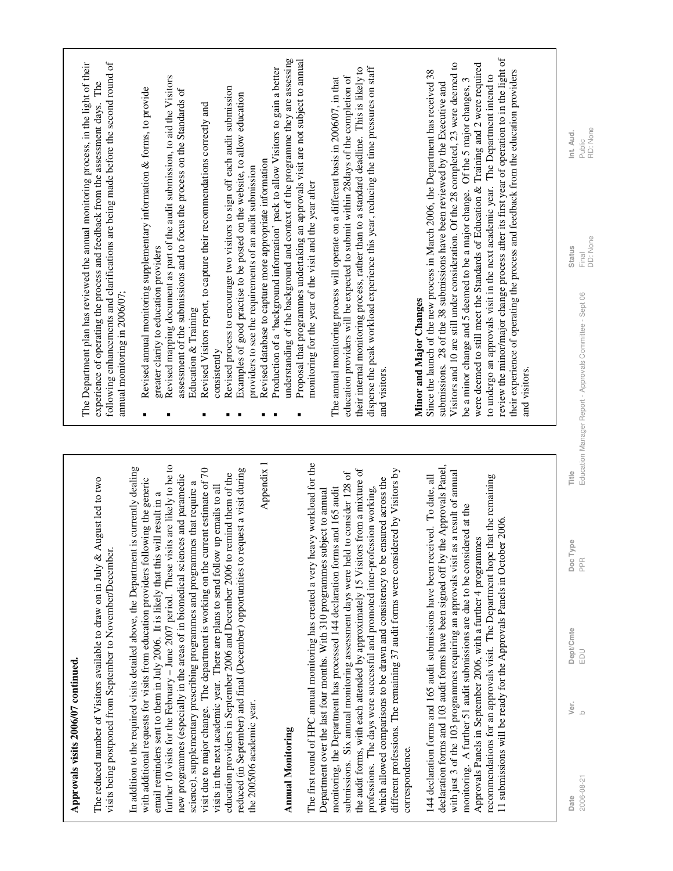| Î<br>۱,<br>ا<br>ا |
|-------------------|
| $\vdots$          |
|                   |

The reduced number of Visitors available to draw on in July & August led to two The reduced number of Visitors available to draw on in July & August led to two visits being postponed from September to November/December. visits being postponed from September to November/December.

further 10 visits for the February – June 2007 period. These visits are likely to be to further 10 visits for the February - June 2007 period. These visits are likely to be to In addition to the required visits detailed above, the Department is currently dealing In addition to the required visits detailed above, the Department is currently dealing visit due to major change. The department is working on the current estimate of 70 visit due to major change. The department is working on the current estimate of 70 reduced (in September) and final (December) opportunities to request a visit during reduced (in September) and final (December) opportunities to request a visit during education providers in September 2006 and December 2006 to remind them of the education providers in September 2006 and December 2006 to remind them of the new programmes (especially in the areas of in biomedical sciences and paramedic new programmes (especially in the areas of in biomedical sciences and paramedic with additional requests for visits from education providers following the generic with additional requests for visits from education providers following the generic science), supplementary prescribing programmes and programmes that require a science), supplementary prescribing programmes and programmes that require a visits in the next academic year. There are plans to send follow up emails to all visits in the next academic year. There are plans to send follow up emails to all email reminders sent to them in July 2006. It is likely that this will result in a email reminders sent to them in July 2006. It is likely that this will result in a the 2005/06 academic year. the 2005/06 academic year.

Appendix 1

## **Annual Monitoring Annual Monitoring**

The first round of HPC annual monitoring has created a very heavy workload for the The first round of HPC annual monitoring has created a very heavy workload for the the audit forms, with each attended by approximately 15 Visitors from a mixture of the audit forms, with each attended by approximately 15 Visitors from a mixture of different professions. The remaining 37 audit forms were considered by Visitors by different professions. The remaining 37 audit forms were considered by Visitors by submissions. Six annual monitoring assessment days were held to consider 128 of submissions. Six annual monitoring assessment days were held to consider 128 of which allowed comparisons to be drawn and consistency to be ensured across the which allowed comparisons to be drawn and consistency to be ensured across the monitoring, the Department has processed 144 declaration forms and 165 audit professions. The days were successful and promoted inter-profession working, monitoring, the Department has processed 144 declaration forms and 165 audit professions. The days were successful and promoted inter-profession working, Department over the last four months. With 310 programmes subject to annual Department over the last four months. With 310 programmes subject to annual correspondence. correspondence.

declaration forms and 103 audit forms have been signed off by the Approvals Panel, declaration forms and 103 audit forms have been signed off by the Approvals Panel, with just 3 of the 103 programmes requiring an approvals visit as a result of annual with just 3 of the 103 programmes requiring an approvals visit as a result of annual 144 declaration forms and 165 audit submissions have been received. To date, all recommendations for an approvals visit. The Department hope that the remaining recommendations for an approvals visit. The Department hope that the remaining 144 declaration forms and 165 audit submissions have been received. To date, all monitoring. A further 51 audit submissions are due to be considered at the monitoring. A further 51 audit submissions are due to be considered at the 11 submissions will be ready for the Approvals Panels in October 2006. 11 submissions will be ready for the Approvals Panels in October 2006. Approvals Panels in September 2006, with a further 4 programmes Approvals Panels in September 2006, with a further 4 programmes

The Department plan has reviewed the annual monitoring process, in the light of their following enhancements and clarifications are being made before the second round of The Department plan has reviewed the annual monitoring process, in the light of their following enhancements and clarifications are being made before the second round of experience of operating the process and feedback from the assessment days. The experience of operating the process and feedback from the assessment days. The annual monitoring in 2006/07; annual monitoring in 2006/07;

- Revised annual monitoring supplementary information & forms, to provide Revised annual monitoring supplementary information & forms, to provide greater clarity to education providers greater clarity to education providers j,
- Revised mapping document as part of the audit submission, to aid the Visitors Revised mapping document as part of the audit submission, to aid the Visitors assessment of the submissions and to focus the process on the Standards of assessment of the submissions and to focus the process on the Standards of Education & Training Education & Training  $\blacksquare$
- Revised Visitors report, to capture their recommendations correctly and Revised Visitors report, to capture their recommendations correctly and consistently consistently  $\blacksquare$
- Revised process to encourage two visitors to sign off each audit submission Revised process to encourage two visitors to sign off each audit submission  $\blacksquare$ 
	- Examples of good practise to be posted on the website, to allow education Examples of good practise to be posted on the website, to allow education providers to see the requirements of an audit submission  $\blacksquare$ 
		- Revised database to capture more appropriate information Revised database to capture more appropriate information providers to see the requirements of an audit submission  $\blacksquare$
- Production of a 'background information' pack to allow Visitors to gain a better Production of a 'background information' pack to allow Visitors to gain a better  $\blacksquare$
- understanding of the background and context of the programme they are assessing<br>Proposal that programmes undertaking an approvals visit are not subject to annual understanding of the background and context of the programme they are assessing Proposal that programmes undertaking an approvals visit are not subject to annual monitoring for the year of the visit and the year after monitoring for the year of the visit and the year after г

disperse the peak workload experience this year, reducing the time pressures on staff their internal monitoring process, rather than to a standard deadline. This is likely to their internal monitoring process, rather than to a standard deadline. This is likely to disperse the peak workload experience this year, reducing the time pressures on staff education providers will be expected to submit within 28days of the completion of education providers will be expected to submit within 28days of the completion of The annual monitoring process will operate on a different basis in 2006/07, in that The annual monitoring process will operate on a different basis in 2006/07, in that and visitors. and visitors.

## Minor and Major Changes **Minor and Major Changes**

review the minor/major change process after its first year of operation to in the light of review the minor/major change process after its first year of operation to in the light of were deemed to still meet the Standards of Education & Training and 2 were required Visitors and 10 are still under consideration. Of the 28 completed, 23 were deemed to Visitors and 10 are still under consideration. Of the 28 completed, 23 were deemed to were deemed to still meet the Standards of Education & Training and 2 were required Since the launch of the new process in March 2006, the Department has received 38 Since the launch of the new process in March 2006, the Department has received 38 their experience of operating the process and feedback from the education providers their experience of operating the process and feedback from the education providers to undergo an approvals visit in the next academic year. The Department intend to to undergo an approvals visit in the next academic year. The Department intend to be a minor change and 5 deemed to be a major change. Of the 5 major changes, 3 be a minor change and 5 deemed to be a major change. Of the 5 major changes, 3 submissions. 28 of the 38 submissions have been reviewed by the Executive and submissions. 28 of the 38 submissions have been reviewed by the Executive and and visitors. and visitors.

Public RD: None Int. Aud.

Final<br>DD: None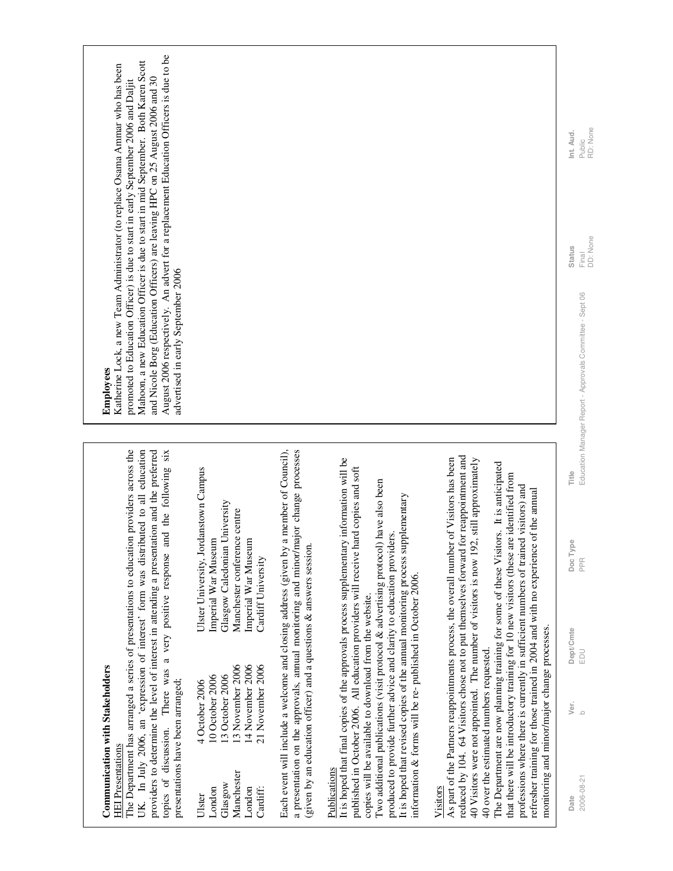| August 2006 respectively. An advert for a replacement Education Officers is due to be<br>Mahoon, a new Education Officer is due to start in mid September. Both Karen Scott<br>Katherine Lock, a new Team Administrator (to replace Osama Ammar who has been<br>and Nicole Borg (Education Officers) are leaving HPC on 25 August 2006 and 30<br>promoted to Education Officer) is due to start in early September 2006 and Daljit<br>advertised in early September 2006<br><b>Employees</b> |                                                                                                                                                                            |                                                                                                                                                                                                                                                   |                                                                                                                                                                                                                                                                                                                                                                                                                                                                                                                                                                            |                                                                                                                                                                                                                                                                                                                                                                                                                                                                                                                                                                                                                                                                                                                                       | RD: None<br>Int. Aud.<br>Public<br>DD: None<br>Status<br>Final<br>Education Manager Report - Approvals Committee - Sept 06 |
|----------------------------------------------------------------------------------------------------------------------------------------------------------------------------------------------------------------------------------------------------------------------------------------------------------------------------------------------------------------------------------------------------------------------------------------------------------------------------------------------|----------------------------------------------------------------------------------------------------------------------------------------------------------------------------|---------------------------------------------------------------------------------------------------------------------------------------------------------------------------------------------------------------------------------------------------|----------------------------------------------------------------------------------------------------------------------------------------------------------------------------------------------------------------------------------------------------------------------------------------------------------------------------------------------------------------------------------------------------------------------------------------------------------------------------------------------------------------------------------------------------------------------------|---------------------------------------------------------------------------------------------------------------------------------------------------------------------------------------------------------------------------------------------------------------------------------------------------------------------------------------------------------------------------------------------------------------------------------------------------------------------------------------------------------------------------------------------------------------------------------------------------------------------------------------------------------------------------------------------------------------------------------------|----------------------------------------------------------------------------------------------------------------------------|
|                                                                                                                                                                                                                                                                                                                                                                                                                                                                                              | Ulster University, Jordanstown Campus<br>Glasgow Caledonian University<br>Manchester conference centre<br>Imperial War Museum<br>Imperial War Museum<br>Cardiff University |                                                                                                                                                                                                                                                   |                                                                                                                                                                                                                                                                                                                                                                                                                                                                                                                                                                            |                                                                                                                                                                                                                                                                                                                                                                                                                                                                                                                                                                                                                                                                                                                                       | Title<br>Doc Type<br><b>PPR</b>                                                                                            |
| The Department has arranged a series of presentations to education providers across the<br>UK. In July 2006, an 'expression of interest' form was distributed to all education<br>providers to determine the level of interest in attending a presentation and the preferred<br>topics of discussion. There was a very positive response and the following six<br><b>Communication with Stakeholders</b><br>presentations have been arranged;<br><b>HEI</b> Presentations                    | 13 November 2006<br>14 November 2006<br>21 November 2006<br>10 October 2006<br>13 October 2006<br>4 October 2006<br>Manchester<br>Glasgow                                  | a presentation on the approvals, annual monitoring and minor/major change processes<br>Each event will include a welcome and closing address (given by a member of Council),<br>given by an education officer) and a questions & answers session. | It is hoped that final copies of the approvals process supplementary information will be<br>published in October 2006. All education providers will receive hard copies and soft<br>I wo additional publications (visit protocol & advertising protocol) have also been<br>It is hoped that revised copies of the annual monitoring process supplementary<br>produced to provide further advice and clarity to education providers.<br>information & forms will be re-published in October 2006.<br>copies will be available to download from the website.<br>Publications | educed by 104. 64 Visitors chose not to put themselves forward for reappointment and<br>As part of the Partners reappointments process, the overall number of Visitors has been<br>40 Visitors were not appointed. The number of visitors is now 192, still approximately<br>The Department are now planning training for some of these Visitors. It is anticipated<br>hat there will be introductory training for 10 new visitors (these are identified from<br>professions where there is currently in sufficient numbers of trained visitors) and<br>refresher training for those trained in 2004 and with no experience of the annual<br>monitoring and minor/major change processes.<br>40 over the estimated numbers requested. | Dept/Cmte<br>EDU<br>Ver.<br>$\circ$<br>2006-08-21                                                                          |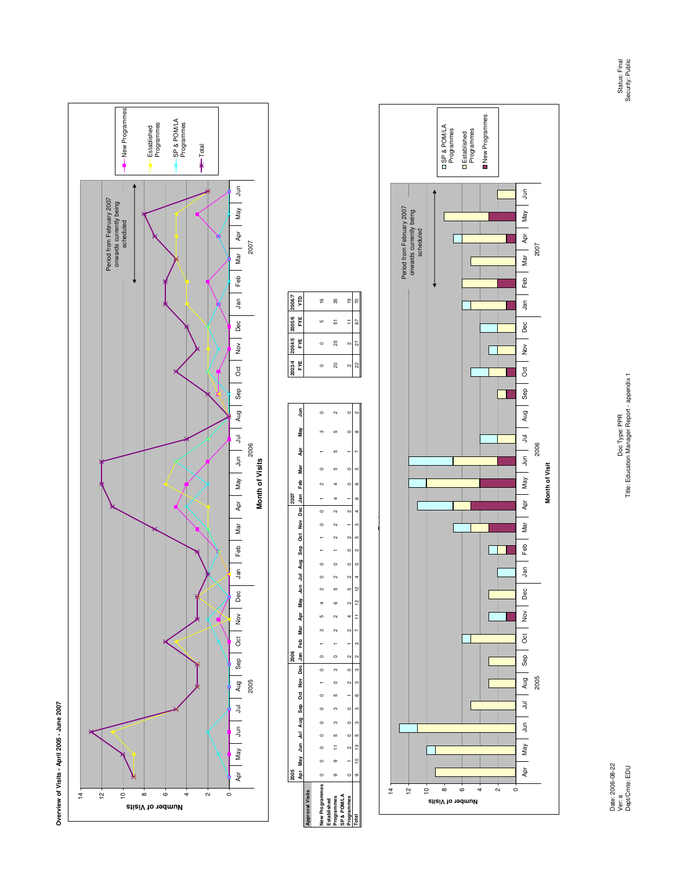



|                   |  |  |                                      |  |                                              |                                                  |              |        |         |                |  |                                     | 2007 |  |                                                                                                             |        |    |    | 2004/5 2005/6 |    |
|-------------------|--|--|--------------------------------------|--|----------------------------------------------|--------------------------------------------------|--------------|--------|---------|----------------|--|-------------------------------------|------|--|-------------------------------------------------------------------------------------------------------------|--------|----|----|---------------|----|
|                   |  |  |                                      |  |                                              |                                                  |              |        |         |                |  |                                     |      |  | Apr May Jun Jul Aug Sep Oct Nov Dec Jan Feb Mar Apr May Jun Jul Aug Sep Oct Nov Dec Jan Feb Mar Apr May Jun |        |    |    | FYE FYE FYE   | Ë  |
|                   |  |  |                                      |  |                                              |                                                  |              |        |         |                |  |                                     |      |  |                                                                                                             |        |    |    |               |    |
| lew Programmes    |  |  | $\begin{matrix} 0 \\ 0 \end{matrix}$ |  | $\begin{matrix} 0 & 1 \\ 0 & 0 \end{matrix}$ |                                                  | <sup>က</sup> | $\sim$ | $\circ$ |                |  | $\overline{0}$                      |      |  |                                                                                                             |        |    |    |               | ڥ  |
| <b>Programmes</b> |  |  |                                      |  |                                              | $11 \t5 \t3 \t3 \t5 \t0 \t1 \t0 \t1 \t2 \t5 \t5$ |              |        |         | $\overline{a}$ |  | $2 \quad 2 \quad 2 \quad 4 \quad 4$ |      |  |                                                                                                             | $\sim$ | 20 | 25 | 5             | 55 |
|                   |  |  |                                      |  |                                              |                                                  |              |        |         |                |  |                                     |      |  |                                                                                                             |        |    |    |               |    |
|                   |  |  |                                      |  |                                              |                                                  | F            |        |         |                |  |                                     |      |  |                                                                                                             |        |    |    |               |    |

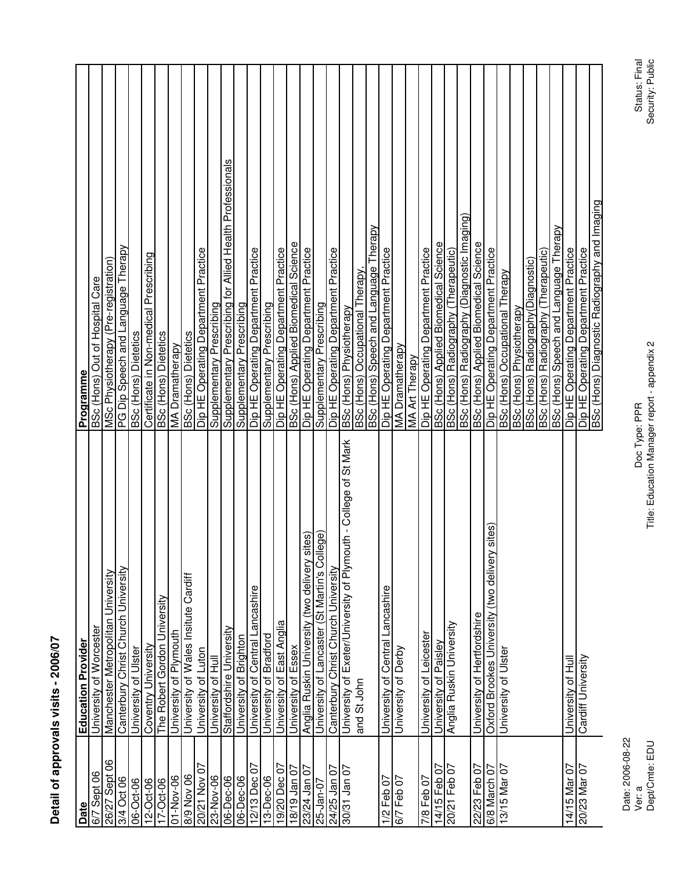| í<br>ı      |
|-------------|
|             |
| ı<br>I<br>I |
| í           |
|             |

| Date                     | <b>Education Provider</b>                                        | <b>Programme</b>                                          |
|--------------------------|------------------------------------------------------------------|-----------------------------------------------------------|
| Sept <sub>06</sub><br>67 | University of Worcester                                          | BSc (Hons) Out of Hospital Care                           |
| 26/27 Sept 06            | Manchester Metropolitan University                               | MSc Physiotherapy (Pre-registration)                      |
| 3/4 Oct 06               | Canterbury Christ Church University                              | PG Dip Speech and Language Therapy                        |
| 06-Oct-06                | University of Ulster                                             | <b>BSc (Hons) Dietetics</b>                               |
| $12 - Oct - 06$          | Coventry University                                              | Certificate in Non-medical Prescribing                    |
| 17-Oct-06                | The Robert Gordon University                                     | <b>BSc (Hons) Dietetics</b>                               |
| 01-Nov-06                | University of Plymouth                                           | <b>MA Dramatherapy</b>                                    |
| 8/9 Nov 06               | University of Wales Insitute Cardiff                             | <b>BSc</b> (Hons) Dietetics                               |
| 20/21 Nov 07             | University of Luton                                              | Dip HE Operating Department Practice                      |
| 23-Nov-06                | University of Hull                                               | Supplementary Prescribing                                 |
| 06-Dec-06                | Staffordshire University                                         | Supplementary Prescribing for Allied Health Professionals |
| 06-Dec-06                | University of Brighton                                           | Supplementary Prescribing                                 |
| 12/13 Dec 07             | University of Central Lancashire                                 | Dip HE Operating Department Practice                      |
| 13-Dec-06                | University of Bradford                                           | Supplementary Prescribing                                 |
| 19/20 Dec 07             | University of East Anglia                                        | Dip HE Operating Department Practice                      |
| 18/19 Jan 07             | University of Essex                                              | BSc (Hons) Applied Biomedical Science                     |
| 23/24 Jan 07             | sites)<br>Anglia Ruskin University (two delivery                 | Dip HE Operating Department Practice                      |
| 25-Jan-07                | University of Lancaster (St Martin's College)                    | Supplementary Prescribing                                 |
| 24/25 Jan 07             | Canterbury Christ Church University                              | Dip HE Operating Department Practice                      |
| 30/31 Jan 07             | University of Exeter/University of Plymouth - College of St Mark | BSc (Hons) Physiotherapy                                  |
|                          | and St John                                                      | BSc (Hons) Occupational Therapy                           |
|                          |                                                                  | BSc (Hons) Speech and Language Therapy                    |
| 1/2 Feb 07               | University of Central Lancashire                                 | Dip HE Operating Department Practice                      |
| 6/7 Feb 07               | University of Derby                                              | MA Dramatherapy                                           |
|                          |                                                                  | <b>MA Art Therapy</b>                                     |
| 7/8 Feb 07               | University of Leicester                                          | Dip HE Operating Department Practice                      |
| 14/15 Feb 07             | University of Paisley                                            | <b>BSc (Hons) Applied Biomedical Science</b>              |
| 20/21 Feb 07             | Anglia Ruskin University                                         | BSc (Hons) Radiography (Therapeutic)                      |
|                          |                                                                  | BSc (Hons) Radiography (Diagnostic Imaging)               |
| 22/23 Feb 07             | University of Hertfordshire                                      | <b>BSc (Hons) Applied Biomedical Science</b>              |
| 6/8 March 07             | Oxford Brookes University (two delivery sites)                   | Dip HE Operating Department Practice                      |
| 13/15 Mar 07             | University of Ulster                                             | BSc (Hons) Occupational Therapy                           |
|                          |                                                                  | BSc (Hons) Physiotherapy                                  |
|                          |                                                                  | BSc (Hons) Radiography(Diagnostic)                        |
|                          |                                                                  | BSc (Hons) Radiography (Therapeutic)                      |
|                          |                                                                  | BSc (Hons) Speech and Language Therapy                    |
| 14/15 Mar 07             | University of Hull                                               | Dip HE Operating Department Practice                      |
| 20/23 Mar 07             | Cardiff University                                               | Dip HE Operating Department Practice                      |
|                          |                                                                  | BSc (Hons) Diagnostic Radiography and Imaging             |
|                          |                                                                  |                                                           |

Doc Type: PPR<br>Title: Education Manager report - appendix 2 Title: Education Manager report - appendix 2